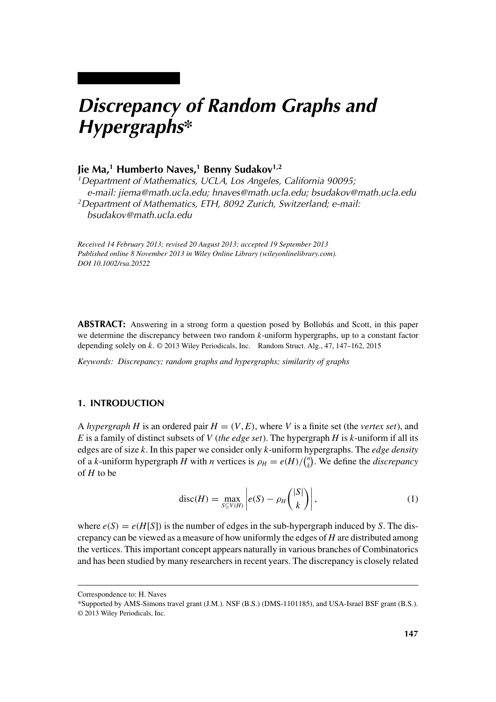# *Discrepancy of Random Graphs and Hypergraphs\**

## **Jie Ma,1 Humberto Naves,1 Benny Sudakov1,2**

*1Department of Mathematics, UCLA, Los Angeles, California 90095; e-mail: jiema@math.ucla.edu; hnaves@math.ucla.edu; bsudakov@math.ucla.edu 2Department of Mathematics, ETH, 8092 Zurich, Switzerland; e-mail: bsudakov@math.ucla.edu*

*Received 14 February 2013; revised 20 August 2013; accepted 19 September 2013 Published online 8 November 2013 in Wiley Online Library (wileyonlinelibrary.com). DOI 10.1002/rsa.20522*

**ABSTRACT:** Answering in a strong form a question posed by Bollobás and Scott, in this paper we determine the discrepancy between two random *k*-uniform hypergraphs, up to a constant factor depending solely on *k*. © 2013 Wiley Periodicals, Inc. Random Struct. Alg., 47, 147–162, 2015

*Keywords: Discrepancy; random graphs and hypergraphs; similarity of graphs*

## **1. INTRODUCTION**

A *hypergraph H* is an ordered pair  $H = (V, E)$ , where *V* is a finite set (the *vertex set*), and *E* is a family of distinct subsets of *V* (*the edge set*). The hypergraph *H* is *k*-uniform if all its edges are of size *k*. In this paper we consider only *k*-uniform hypergraphs. The *edge density* of a *k*-uniform hypergraph *H* with *n* vertices is  $\rho_H = e(H)/\binom{n}{k}$  $\binom{n}{k}$ . We define the *discrepancy* of *H* to be

$$
\operatorname{disc}(H) = \max_{S \subseteq V(H)} \left| e(S) - \rho_H \binom{|S|}{k} \right|,\tag{1}
$$

where  $e(S) = e(H[S])$  is the number of edges in the sub-hypergraph induced by *S*. The discrepancy can be viewed as a measure of how uniformly the edges of *H* are distributed among the vertices. This important concept appears naturally in various branches of Combinatorics and has been studied by many researchers in recent years. The discrepancy is closely related

Correspondence to: H. Naves

<sup>\*</sup>Supported by AMS-Simons travel grant (J.M.). NSF (B.S.) (DMS-1101185), and USA-Israel BSF grant (B.S.). © 2013 Wiley Periodicals, Inc.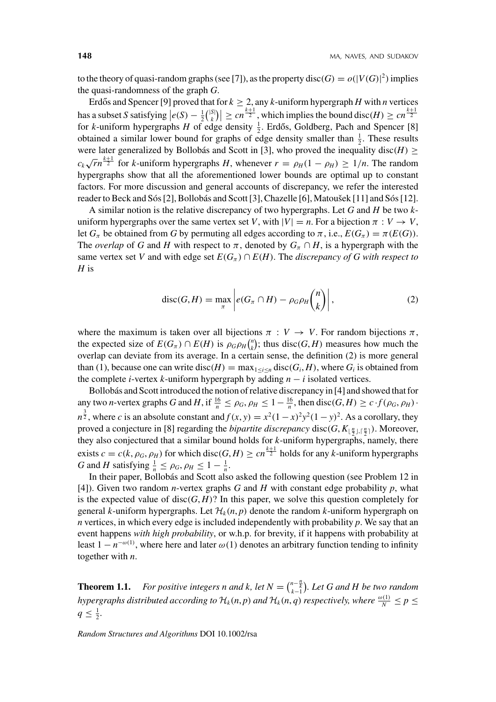to the theory of quasi-random graphs (see [7]), as the property disc( $G$ ) =  $o(|V(G)|^2)$  implies the quasi-randomness of the graph *G*.

Erdős and Spencer [9] proved that for  $k \ge 2$ , any k-uniform hypergraph *H* with *n* vertices has a subset *S* satisfying  $\left| e(S) - \frac{1}{2} \binom{|S|}{k} \right|$  $\left| \sum_{k=1}^{S(n)} \right| \geq cn^{\frac{k+1}{2}}$ , which implies the bound disc $(H) \geq cn^{\frac{k+1}{2}}$ for *k*-uniform hypergraphs *H* of edge density  $\frac{1}{2}$ . Erdős, Goldberg, Pach and Spencer [8] obtained a similar lower bound for graphs of edge density smaller than  $\frac{1}{2}$ . These results were later generalized by Bollobás and Scott in [3], who proved the inequality disc( $H$ )  $\geq$  $c_k \sqrt{rn}^{\frac{k+1}{2}}$  for *k*-uniform hypergraphs *H*, whenever  $r = \rho_H (1 - \rho_H) \ge 1/n$ . The random hypergraphs show that all the aforementioned lower bounds are optimal up to constant factors. For more discussion and general accounts of discrepancy, we refer the interested reader to Beck and Sós [2], Bollobás and Scott [3], Chazelle [6], Matoušek [11] and Sós [12].

A similar notion is the relative discrepancy of two hypergraphs. Let *G* and *H* be two *k*uniform hypergraphs over the same vertex set *V*, with  $|V| = n$ . For a bijection  $\pi : V \to V$ , let  $G_{\pi}$  be obtained from *G* by permuting all edges according to  $\pi$ , i.e.,  $E(G_{\pi}) = \pi(E(G))$ . The *overlap* of *G* and *H* with respect to  $\pi$ , denoted by  $G_{\pi} \cap H$ , is a hypergraph with the same vertex set *V* and with edge set  $E(G_\pi) \cap E(H)$ . The *discrepancy of G with respect to H* is

$$
\operatorname{disc}(G,H) = \max_{\pi} \left| e(G_{\pi} \cap H) - \rho_G \rho_H \binom{n}{k} \right|,\tag{2}
$$

where the maximum is taken over all bijections  $\pi : V \to V$ . For random bijections  $\pi$ , the expected size of  $E(G_\pi) \cap E(H)$  is  $\rho_G \rho_H \binom{n}{k}$  $\binom{n}{k}$ ; thus disc(*G*, *H*) measures how much the overlap can deviate from its average. In a certain sense, the definition (2) is more general than (1), because one can write disc( $H$ ) = max<sub> $1 \le i \le n$ </sub> disc( $G_i$ ,  $H$ ), where  $G_i$  is obtained from the complete *i*-vertex *k*-uniform hypergraph by adding *n* − *i* isolated vertices.

Bollobás and Scott introduced the notion of relative discrepancy in [4] and showed that for any two *n*-vertex graphs G and H, if  $\frac{16}{n} \le \rho_G$ ,  $\rho_H \le 1 - \frac{16}{n}$ , then disc(G, H)  $\ge c \cdot f(\rho_G, \rho_H)$ .  $n^{\frac{3}{2}}$ , where *c* is an absolute constant and  $f(x, y) = x^2(1 - x)^2y^2(1 - y)^2$ . As a corollary, they proved a conjecture in [8] regarding the *bipartite discrepancy* disc( $G$ ,  $K_{\lfloor \frac{n}{2} \rfloor, \lceil \frac{n}{2} \rceil}$ ). Moreover, they also conjectured that a similar bound holds for *k*-uniform hypergraphs, namely, there exists  $c = c(k, \rho_G, \rho_H)$  for which disc( $G, H$ )  $\geq cn^{\frac{k+1}{2}}$  holds for any *k*-uniform hypergraphs *G* and *H* satisfying  $\frac{1}{n} \leq \rho_G$ ,  $\rho_H \leq 1 - \frac{1}{n}$ .

In their paper, Bollobás and Scott also asked the following question (see Problem 12 in [4]). Given two random *n*-vertex graphs  $G$  and  $H$  with constant edge probability  $p$ , what is the expected value of disc $(G, H)$ ? In this paper, we solve this question completely for general *k*-uniform hypergraphs. Let  $\mathcal{H}_k(n, p)$  denote the random *k*-uniform hypergraph on *n* vertices, in which every edge is included independently with probability *p*. We say that an event happens *with high probability*, or w.h.p. for brevity, if it happens with probability at least  $1 - n^{-\omega(1)}$ , where here and later  $\omega(1)$  denotes an arbitrary function tending to infinity together with *n*.

**Theorem 1.1.** *For positive integers n and k, let*  $N = {n - \frac{n}{k} \choose k-1}$ *. Let* G and H be two random *hypergraphs distributed according to*  $\mathcal{H}_k(n,p)$  *and*  $\mathcal{H}_k(n,q)$  *respectively, where*  $\frac{\omega(1)}{N} \leq p \leq$  $q \leq \frac{1}{2}$ .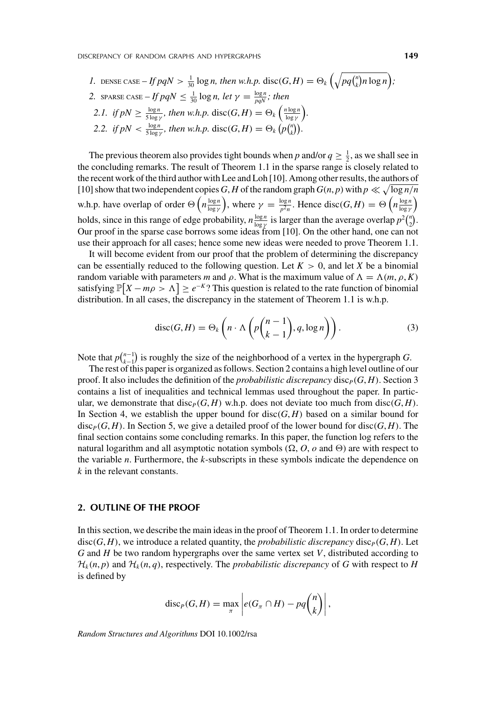\n- 1. DENSE CASE – If 
$$
pqN > \frac{1}{30} \log n
$$
, then  $w.h.p.$   $\text{disc}(G, H) = \Theta_k \left( \sqrt{pq \binom{n}{k} n \log n} \right);$
\n- 2. SPARSE CASE – If  $pqN \leq \frac{1}{30} \log n$ , let  $\gamma = \frac{\log n}{pqN}$ ; then
\n- 2.1. if  $pN \geq \frac{\log n}{5 \log \gamma}$ , then  $w.h.p.$   $\text{disc}(G, H) = \Theta_k \left( \frac{n \log n}{\log \gamma} \right).$
\n- 2.2. if  $pN < \frac{\log n}{5 \log \gamma}$ , then  $w.h.p.$   $\text{disc}(G, H) = \Theta_k \left( p \binom{n}{k} \right).$
\n

The previous theorem also provides tight bounds when *p* and/or  $q \geq \frac{1}{2}$ , as we shall see in the concluding remarks. The result of Theorem 1.1 in the sparse range is closely related to the recent work of the third author with Lee and Loh [10]. Among other results, the authors of [10] show that two independent copies *G*, *H* of the random graph  $G(n, p)$  with  $p \ll \sqrt{\log n/n}$ w.h.p. have overlap of order  $\Theta\left(n\frac{\log n}{\log \gamma}\right)$ ), where  $\gamma = \frac{\log n}{p^2 n}$ . Hence disc(*G*, *H*) =  $\Theta\left(n \frac{\log n}{\log \gamma}\right)$  $\overline{ }$ holds, since in this range of edge probability,  $n \frac{\log n}{\log \gamma}$  is larger than the average overlap  $p^2 {n \choose 2}$  $\binom{n}{2}$ . Our proof in the sparse case borrows some ideas from [10]. On the other hand, one can not use their approach for all cases; hence some new ideas were needed to prove Theorem 1.1.

It will become evident from our proof that the problem of determining the discrepancy can be essentially reduced to the following question. Let  $K > 0$ , and let *X* be a binomial random variable with parameters *m* and  $\rho$ . What is the maximum value of  $\Lambda = \Lambda(m, \rho, K)$ satisfying  $\mathbb{P}[X - m\rho > \Lambda] \geq e^{-K}$ ? This question is related to the rate function of binomial distribution. In all cases, the discrepancy in the statement of Theorem 1.1 is w.h.p.

$$
\operatorname{disc}(G,H) = \Theta_k\left(n \cdot \Lambda\left(p\binom{n-1}{k-1}, q, \log n\right)\right). \tag{3}
$$

Note that  $p\binom{n-1}{k-1}$  $\binom{n-1}{k-1}$  is roughly the size of the neighborhood of a vertex in the hypergraph *G*.

The rest of this paper is organized as follows. Section 2 contains a high level outline of our proof. It also includes the definition of the *probabilistic discrepancy* disc<sub>*P*</sub>(*G*, *H*). Section 3 contains a list of inequalities and technical lemmas used throughout the paper. In particular, we demonstrate that disc<sub>*P*</sub></sub>(*G*, *H*) w.h.p. does not deviate too much from disc $(G, H)$ . In Section 4, we establish the upper bound for disc $(G, H)$  based on a similar bound for disc<sub>*P*</sub>(*G*, *H*). In Section 5, we give a detailed proof of the lower bound for disc(*G*, *H*). The final section contains some concluding remarks. In this paper, the function log refers to the natural logarithm and all asymptotic notation symbols ( $\Omega$ , *O*, *o* and  $\Theta$ ) are with respect to the variable *n*. Furthermore, the *k*-subscripts in these symbols indicate the dependence on *k* in the relevant constants.

#### **2. OUTLINE OF THE PROOF**

In this section, we describe the main ideas in the proof of Theorem 1.1. In order to determine disc $(G, H)$ , we introduce a related quantity, the *probabilistic discrepancy* disc<sub>*P*</sub> $(G, H)$ . Let *G* and *H* be two random hypergraphs over the same vertex set *V*, distributed according to  $\mathcal{H}_k(n, p)$  and  $\mathcal{H}_k(n, q)$ , respectively. The *probabilistic discrepancy* of *G* with respect to *H* is defined by

$$
\mathrm{disc}_P(G,H)=\max_{\pi}\left|e(G_{\pi}\cap H)-pq\binom{n}{k}\right|,
$$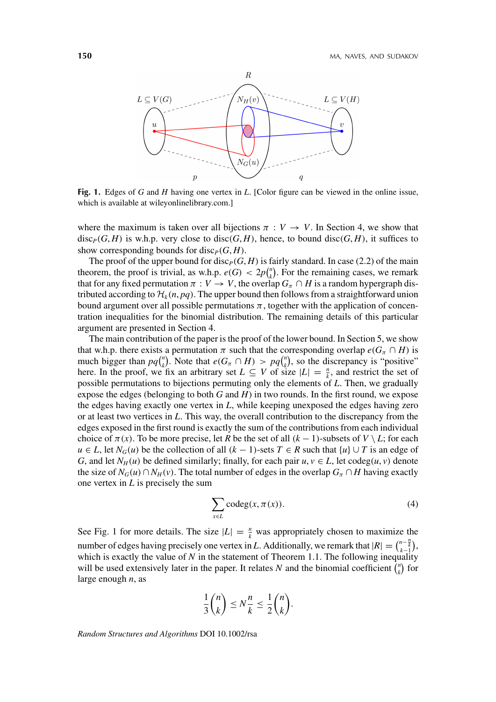

**Fig. 1.** Edges of *G* and *H* having one vertex in *L*. [Color figure can be viewed in the online issue, which is available at wileyonlinelibrary.com.]

where the maximum is taken over all bijections  $\pi : V \to V$ . In Section 4, we show that disc<sub>*P*</sub></sub>(*G*, *H*) is w.h.p. very close to disc(*G*, *H*), hence, to bound disc(*G*, *H*), it suffices to show corresponding bounds for disc<sub>*P*</sub></sub> $(G, H)$ .

The proof of the upper bound for disc<sub>*P*</sub>( $G$ ,  $H$ ) is fairly standard. In case (2.2) of the main theorem, the proof is trivial, as w.h.p.  $e(G) < 2p\binom{n}{k}$  $\binom{n}{k}$ . For the remaining cases, we remark that for any fixed permutation  $\pi : V \to V$ , the overlap  $G_{\pi} \cap H$  is a random hypergraph distributed according to  $\mathcal{H}_k(n, pq)$ . The upper bound then follows from a straightforward union bound argument over all possible permutations  $\pi$ , together with the application of concentration inequalities for the binomial distribution. The remaining details of this particular argument are presented in Section 4.

The main contribution of the paper is the proof of the lower bound. In Section 5, we show that w.h.p. there exists a permutation  $\pi$  such that the corresponding overlap  $e(G_\pi \cap H)$  is much bigger than  $pq\binom{n}{k}$  $\binom{n}{k}$ . Note that  $e(G_\pi \cap H) > pq \binom{n}{k}$  $k$ ), so the discrepancy is "positive" here. In the proof, we fix an arbitrary set  $L \subseteq V$  of size  $|L| = \frac{n}{k}$ , and restrict the set of possible permutations to bijections permuting only the elements of *L*. Then, we gradually expose the edges (belonging to both *G* and *H*) in two rounds. In the first round, we expose the edges having exactly one vertex in *L*, while keeping unexposed the edges having zero or at least two vertices in *L*. This way, the overall contribution to the discrepancy from the edges exposed in the first round is exactly the sum of the contributions from each individual choice of  $\pi(x)$ . To be more precise, let *R* be the set of all  $(k-1)$ -subsets of  $V \setminus L$ ; for each *u* ∈ *L*, let  $N_G(u)$  be the collection of all  $(k - 1)$ -sets  $T \in R$  such that  $\{u\} \cup T$  is an edge of *G*, and let  $N_H(u)$  be defined similarly; finally, for each pair  $u, v \in L$ , let codeg $(u, v)$  denote the size of  $N_G(u) \cap N_H(v)$ . The total number of edges in the overlap  $G_{\pi} \cap H$  having exactly one vertex in *L* is precisely the sum

$$
\sum_{x \in L} \operatorname{codeg}(x, \pi(x)). \tag{4}
$$

See Fig. 1 for more details. The size  $|L| = \frac{n}{k}$  was appropriately chosen to maximize the number of edges having precisely one vertex in *L*. Additionally, we remark that  $|R| = \binom{n - \frac{n}{k}}{k-1}$ , which is exactly the value of  $N$  in the statement of Theorem 1.1. The following inequality will be used extensively later in the paper. It relates N and the binomial coefficient  $\binom{n}{k}$  $\binom{n}{k}$  for large enough *n*, as

$$
\frac{1}{3}\binom{n}{k} \leq N\frac{n}{k} \leq \frac{1}{2}\binom{n}{k}.
$$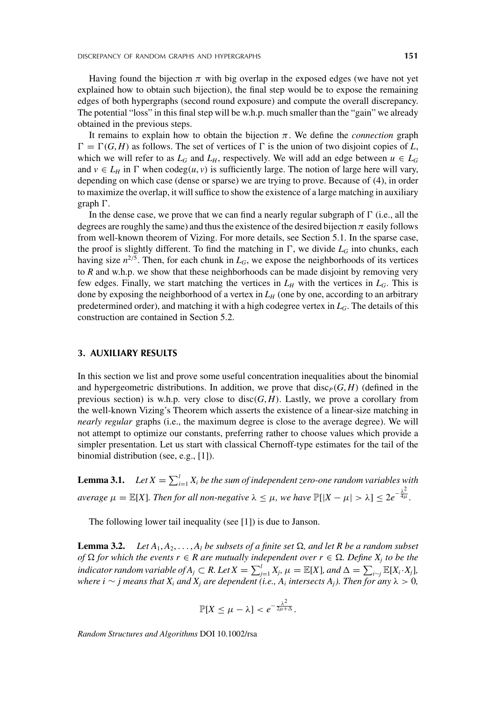Having found the bijection  $\pi$  with big overlap in the exposed edges (we have not yet explained how to obtain such bijection), the final step would be to expose the remaining edges of both hypergraphs (second round exposure) and compute the overall discrepancy. The potential "loss" in this final step will be w.h.p. much smaller than the "gain" we already obtained in the previous steps.

It remains to explain how to obtain the bijection  $\pi$ . We define the *connection* graph  $\Gamma = \Gamma(G, H)$  as follows. The set of vertices of  $\Gamma$  is the union of two disjoint copies of *L*, which we will refer to as  $L_G$  and  $L_H$ , respectively. We will add an edge between  $u \in L_G$ and  $v \in L_H$  in  $\Gamma$  when codeg $(u, v)$  is sufficiently large. The notion of large here will vary, depending on which case (dense or sparse) we are trying to prove. Because of (4), in order to maximize the overlap, it will suffice to show the existence of a large matching in auxiliary graph  $\Gamma$ .

In the dense case, we prove that we can find a nearly regular subgraph of  $\Gamma$  (i.e., all the degrees are roughly the same) and thus the existence of the desired bijection  $\pi$  easily follows from well-known theorem of Vizing. For more details, see Section 5.1. In the sparse case, the proof is slightly different. To find the matching in  $\Gamma$ , we divide  $L_G$  into chunks, each having size  $n^{2/5}$ . Then, for each chunk in  $L_G$ , we expose the neighborhoods of its vertices to *R* and w.h.p. we show that these neighborhoods can be made disjoint by removing very few edges. Finally, we start matching the vertices in  $L_H$  with the vertices in  $L_G$ . This is done by exposing the neighborhood of a vertex in  $L_H$  (one by one, according to an arbitrary predetermined order), and matching it with a high codegree vertex in  $L_G$ . The details of this construction are contained in Section 5.2.

### **3. AUXILIARY RESULTS**

In this section we list and prove some useful concentration inequalities about the binomial and hypergeometric distributions. In addition, we prove that  $\text{disc}_P(G, H)$  (defined in the previous section) is w.h.p. very close to disc $(G, H)$ . Lastly, we prove a corollary from the well-known Vizing's Theorem which asserts the existence of a linear-size matching in *nearly regular* graphs (i.e., the maximum degree is close to the average degree). We will not attempt to optimize our constants, preferring rather to choose values which provide a simpler presentation. Let us start with classical Chernoff-type estimates for the tail of the binomial distribution (see, e.g., [1]).

**Lemma 3.1.** Let  $X = \sum_{i=1}^{l} X_i$  be the sum of independent zero-one random variables with *average*  $μ = \mathbb{E}[X]$ *. Then for all non-negative*  $λ ≤ μ$ *, we have*  $\mathbb{P}[|X - μ| > λ] ≤ 2e^{-\frac{λ^2}{4μ}}$ *.* 

The following lower tail inequality (see [1]) is due to Janson.

**Lemma 3.2.** *Let*  $A_1, A_2, \ldots, A_l$  *be subsets of a finite set*  $\Omega$ *, and let R be a random subset of*  $\Omega$  *for which the events r* ∈ *R* are mutually independent over *r* ∈  $\Omega$ *. Define*  $X_j$  *to be the indicator random variable of*  $A_j \subset R$ *. Let*  $X = \sum_{j=1}^l X_j$ *,*  $\mu = \mathbb{E}[X]$ *, and*  $\Delta = \sum_{i \sim j} \mathbb{E}[X_i \cdot X_j]$ *, where i*  $\sim$  *j means that*  $X_i$  *and*  $X_j$  *are dependent* (*i.e.,*  $A_i$  *intersects*  $A_i$ *). Then* for *any*  $\lambda > 0$ ,

$$
\mathbb{P}[X \leq \mu - \lambda] < e^{-\frac{\lambda^2}{2\mu + \Delta}}.
$$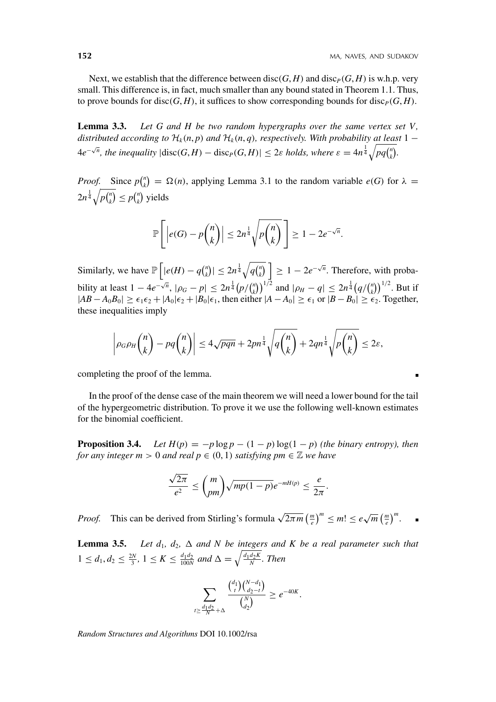Next, we establish that the difference between disc( $G$ ,  $H$ ) and disc<sub>*P*</sub>( $G$ ,  $H$ ) is w.h.p. very small. This difference is, in fact, much smaller than any bound stated in Theorem 1.1. Thus, to prove bounds for disc $(G, H)$ , it suffices to show corresponding bounds for disc $P(G, H)$ .

**Lemma 3.3.** *Let G and H be two random hypergraphs over the same vertex set V, distributed according to*  $H_k(n, p)$  *and*  $H_k(n, q)$ *, respectively. With probability at least* 1 −  $4e^{-\sqrt{n}}$ , the inequality  $|\text{disc}(G,H) - \text{disc}_P(G,H)| \leq 2\varepsilon$  holds, where  $\varepsilon = 4n^{\frac{1}{4}}\sqrt{pq\binom{n}{k}}$ *k .*

*Proof.* Since  $p\binom{n}{k}$  $f_k$ <sup>n</sup>) =  $\Omega(n)$ , applying Lemma 3.1 to the random variable *e*(*G*) for  $\lambda$  =  $2n^{\frac{1}{4}}\sqrt{p\binom{n}{k}}$  $\binom{n}{k} \leq p \binom{n}{k}$  $\binom{n}{k}$  yields

$$
\mathbb{P}\left[\left|e(G) - p\binom{n}{k}\right| \le 2n^{\frac{1}{4}}\sqrt{p\binom{n}{k}}\right] \ge 1 - 2e^{-\sqrt{n}}.
$$

Similarly, we have  $\mathbb{P}\left[|e(H) - q\right]_k^n$  $|f_{k}^{(n)}| \leq 2n^{\frac{1}{4}}\sqrt{q \binom{n}{k}}$  $\left| \frac{n}{k} \right|$  = 1 – 2*e*<sup>- $\sqrt{n}$ </sup>. Therefore, with probability at least  $1 - 4e^{-\sqrt{n}}$ ,  $|\rho_G - p| \le 2n^{\frac{1}{4}} (p/\binom{n}{k})$  $\binom{n}{k}$ <sup>1/2</sup> and  $|\rho_H - q| \leq 2n^{\frac{1}{4}} \left( q / \binom{n}{k} \right)$  $\binom{n}{k}$ <sup>1/2</sup>. But if  $|AB - A_0B_0| \ge \epsilon_1 \epsilon_2 + |A_0|\epsilon_2 + |B_0|\epsilon_1$ , then either  $|A - A_0| \ge \epsilon_1$  or  $|B - B_0| \ge \epsilon_2$ . Together, these inequalities imply

$$
\left|\rho_G\rho_H\binom{n}{k}-pq\binom{n}{k}\right|\leq 4\sqrt{pqn}+2pn^{\frac{1}{4}}\sqrt{q\binom{n}{k}}+2qn^{\frac{1}{4}}\sqrt{p\binom{n}{k}}\leq 2\varepsilon,
$$

completing the proof of the lemma.

In the proof of the dense case of the main theorem we will need a lower bound for the tail of the hypergeometric distribution. To prove it we use the following well-known estimates for the binomial coefficient.

**Proposition 3.4.** *Let*  $H(p) = -p \log p - (1 - p) \log(1 - p)$  *(the binary entropy), then for any integer m* > 0 *and real*  $p \in (0, 1)$  *satisfying pm*  $\in \mathbb{Z}$  *we have* 

$$
\frac{\sqrt{2\pi}}{e^2} \le {m \choose pm} \sqrt{mp(1-p)} e^{-mH(p)} \le \frac{e}{2\pi}.
$$

*Proof.* This can be derived from Stirling's formula  $\sqrt{2\pi m} \left(\frac{m}{e}\right)^m \le m! \le e \sqrt{m} \left(\frac{m}{e}\right)^m$ .

**Lemma 3.5.** *Let d<sub>1</sub>, d<sub>2</sub>,*  $\Delta$  *and N be integers and K be a real parameter such that*  $1 \leq d_1, d_2 \leq \frac{2N}{3}, 1 \leq K \leq \frac{d_1d_2}{100N}$  and  $\Delta = \sqrt{\frac{d_1d_2K}{N}}$ . Then

$$
\sum_{t \geq \frac{d_1 d_2}{N} + \Delta} \frac{\binom{d_1}{t} \binom{N - d_1}{d_2 - t}}{\binom{N}{d_2}} \geq e^{-40K}.
$$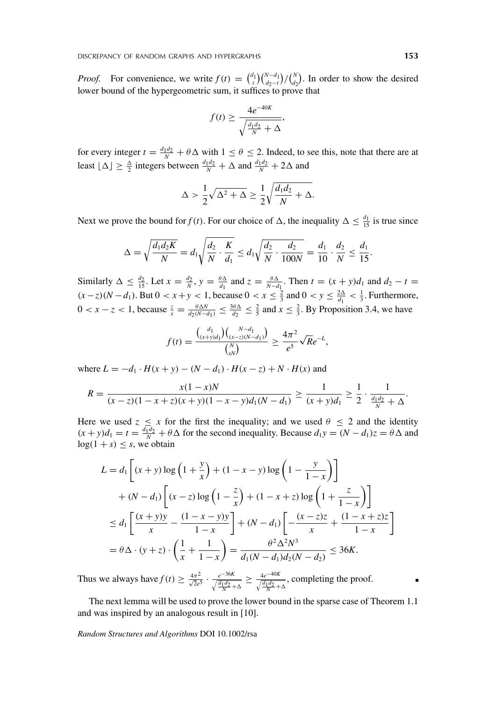*Proof.* For convenience, we write  $f(t) = \binom{d_1}{t} \binom{N-d_1}{d_2-t}$  $\binom{N-d_1}{d_2-t}/\binom{N}{d_2}$  $\binom{N}{d_2}$ . In order to show the desired lower bound of the hypergeometric sum, it suffices to prove that

$$
f(t) \ge \frac{4e^{-40K}}{\sqrt{\frac{d_1d_2}{N} + \Delta}},
$$

for every integer  $t = \frac{d_1 d_2}{N} + \theta \Delta$  with  $1 \le \theta \le 2$ . Indeed, to see this, note that there are at least  $\lfloor \Delta \rfloor \geq \frac{\Delta}{2}$  integers between  $\frac{d_1 d_2}{N} + \Delta$  and  $\frac{d_1 d_2}{N} + 2\Delta$  and

$$
\Delta > \frac{1}{2}\sqrt{\Delta^2 + \Delta} \ge \frac{1}{2}\sqrt{\frac{d_1d_2}{N} + \Delta}.
$$

Next we prove the bound for  $f(t)$ . For our choice of  $\Delta$ , the inequality  $\Delta \leq \frac{d_1}{15}$  is true since

$$
\Delta = \sqrt{\frac{d_1 d_2 K}{N}} = d_1 \sqrt{\frac{d_2}{N} \cdot \frac{K}{d_1}} \leq d_1 \sqrt{\frac{d_2}{N} \cdot \frac{d_2}{100N}} = \frac{d_1}{10} \cdot \frac{d_2}{N} \leq \frac{d_1}{15}.
$$

Similarly  $\Delta \le \frac{d_2}{15}$ . Let  $x = \frac{d_2}{N}$ ,  $y = \frac{\theta \Delta}{d_1}$  and  $z = \frac{\theta \Delta}{N - d_1}$ . Then  $t = (x + y)d_1$  and  $d_2 - t =$  $(x-z)(N-d_1)$ . But 0 *< x* + *y <* 1, because 0 *< x* ≤  $\frac{2}{3}$  and 0 *< y* ≤  $\frac{2\Delta}{d_1}$  <  $\frac{1}{3}$ . Furthermore,  $0 < x - z < 1$ , because  $\frac{z}{x} = \frac{\theta \Delta N}{d_2(N - d_1)} \le \frac{3\theta \Delta}{d_2} \le \frac{2}{5}$  and  $x \le \frac{2}{3}$ . By Proposition 3.4, we have

$$
f(t) = \frac{\binom{d_1}{(x+y)d_1}\binom{N-d_1}{(x-z)(N-d_1)}}{\binom{N}{xN}} \ge \frac{4\pi^2}{e^5}\sqrt{R}e^{-L},
$$

where  $L = -d_1 \cdot H(x + y) - (N - d_1) \cdot H(x - z) + N \cdot H(x)$  and

$$
R = \frac{x(1-x)N}{(x-z)(1-x+z)(x+y)(1-x-y)d_1(N-d_1)} \ge \frac{1}{(x+y)d_1} \ge \frac{1}{2} \cdot \frac{1}{\frac{d_1d_2}{N} + \Delta}.
$$

Here we used  $z \leq x$  for the first the inequality; and we used  $\theta \leq 2$  and the identity  $(x + y)d_1 = t = \frac{d_1d_2}{N} + \theta \Delta$  for the second inequality. Because  $d_1y = (N - d_1)z = \theta \Delta$  and  $\log(1 + s) \leq s$ , we obtain

$$
L = d_1 \left[ (x+y) \log \left( 1 + \frac{y}{x} \right) + (1-x-y) \log \left( 1 - \frac{y}{1-x} \right) \right] + (N - d_1) \left[ (x-z) \log \left( 1 - \frac{z}{x} \right) + (1-x+z) \log \left( 1 + \frac{z}{1-x} \right) \right] \n\le d_1 \left[ \frac{(x+y)y}{x} - \frac{(1-x-y)y}{1-x} \right] + (N - d_1) \left[ -\frac{(x-z)z}{x} + \frac{(1-x+z)z}{1-x} \right] = \theta \Delta \cdot (y+z) \cdot \left( \frac{1}{x} + \frac{1}{1-x} \right) = \frac{\theta^2 \Delta^2 N^3}{d_1 (N - d_1) d_2 (N - d_2)} \le 36K.
$$

Thus we always have  $f(t) \ge \frac{4\pi^2}{\sqrt{2e^5}} \cdot \frac{e^{-36K}}{\sqrt{\frac{d_1d_2}{N} + \Delta}} \ge \frac{4e^{-40K}}{\sqrt{\frac{d_1d_2}{N} + \Delta}}$ , completing the proof.

The next lemma will be used to prove the lower bound in the sparse case of Theorem 1.1 and was inspired by an analogous result in [10].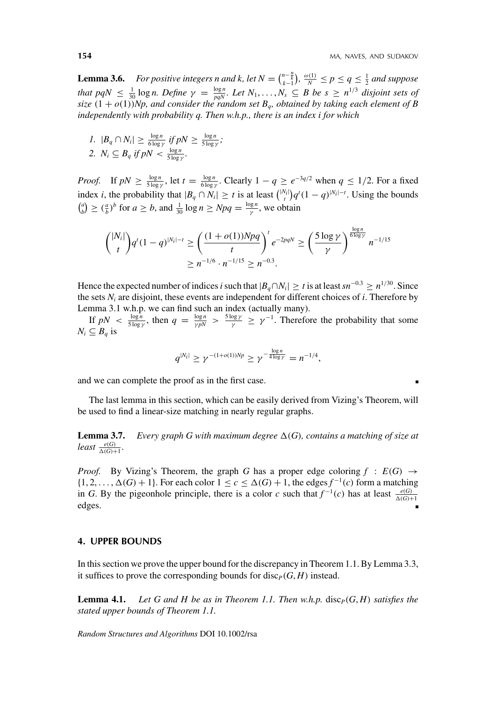**Lemma 3.6.** For positive integers n and k, let  $N = {n - \frac{n}{k} \choose k-1}, \frac{\omega(1)}{N} \le p \le q \le \frac{1}{2}$  and suppose *that pqN*  $\leq \frac{1}{30} \log n$ . Define  $\gamma = \frac{\log n}{pqN}$ . Let  $N_1, \ldots, N_s \subseteq B$  be  $s \geq n^{1/3}$  disjoint sets of *size*  $(1 + o(1))$ *Np, and consider the random set*  $B_q$ *, obtained by taking each element of B independently with probability q. Then w.h.p., there is an index i for which*

*1.*  $|B_q \cap N_i| \geq \frac{\log n}{6 \log \gamma}$  *if*  $pN \geq \frac{\log n}{5 \log \gamma}$ ; 2.  $N_i \subseteq B_q$  *if*  $pN < \frac{\log n}{5 \log \gamma}$ .

*Proof.* If  $pN \ge \frac{\log n}{5 \log \gamma}$ , let  $t = \frac{\log n}{6 \log \gamma}$ . Clearly  $1 - q \ge e^{-3q/2}$  when  $q \le 1/2$ . For a fixed index *i*, the probability that  $|B_q \cap N_i| \ge t$  is at least  $\binom{|N_i|}{t} q^t (1-q)^{|N_i|-t}$ . Using the bounds -*a*  $\binom{a}{b} \geq \left(\frac{a}{b}\right)^b$  for  $a \geq b$ , and  $\frac{1}{30} \log n \geq Npq = \frac{\log n}{\gamma}$ , we obtain

$$
{\binom{|N_i|}{t}} q^t (1-q)^{|N_i|-t} \ge \left(\frac{(1+o(1))Npq}{t}\right)^t e^{-2pqN} \ge \left(\frac{5\log\gamma}{\gamma}\right)^{\frac{\log n}{6\log\gamma}} n^{-1/15}
$$

$$
\ge n^{-1/6} \cdot n^{-1/15} \ge n^{-0.3}.
$$

Hence the expected number of indices *i* such that  $|B_a \cap N_i| \ge t$  is at least  $sn^{-0.3} \ge n^{1/30}$ . Since the sets  $N_i$  are disjoint, these events are independent for different choices of  $i$ . Therefore by Lemma 3.1 w.h.p. we can find such an index (actually many).

If  $pN < \frac{\log n}{5 \log \gamma}$ , then  $q = \frac{\log n}{\gamma pN} > \frac{5 \log \gamma}{\gamma} \geq \gamma^{-1}$ . Therefore the probability that some  $N_i \subseteq B_q$  is

$$
q^{|N_i|} \geq \gamma^{-(1+o(1))Np} \geq \gamma^{-\frac{\log n}{4 \log \gamma}} = n^{-1/4},
$$

and we can complete the proof as in the first case.

The last lemma in this section, which can be easily derived from Vizing's Theorem, will be used to find a linear-size matching in nearly regular graphs.

**Lemma 3.7.** *Every graph G with maximum degree*  $\Delta(G)$ *, contains a matching of size at*  $least \frac{e(G)}{\Delta(G)+1}$ .

*Proof.* By Vizing's Theorem, the graph *G* has a proper edge coloring  $f : E(G) \rightarrow$  $\{1, 2, \ldots, \Delta(G) + 1\}$ . For each color  $1 \leq c \leq \Delta(G) + 1$ , the edges  $f^{-1}(c)$  form a matching in *G*. By the pigeonhole principle, there is a color *c* such that  $f^{-1}(c)$  has at least  $\frac{e(G)}{\Delta(G)+1}$ edges.

#### **4. UPPER BOUNDS**

In this section we prove the upper bound for the discrepancy in Theorem 1.1. By Lemma 3.3, it suffices to prove the corresponding bounds for disc<sub>*P*</sub>( $G$ ,  $H$ ) instead.

**Lemma 4.1.** Let G and H be as in Theorem 1.1. Then w.h.p.  $\text{disc}_P(G, H)$  satisfies the *stated upper bounds of Theorem 1.1.*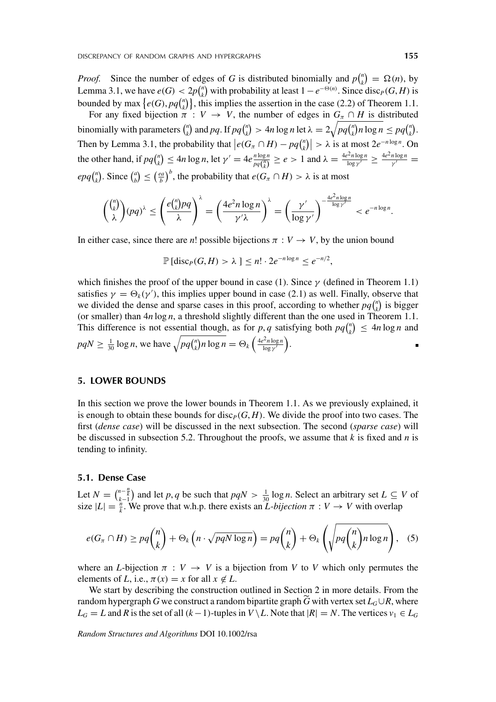*Proof.* Since the number of edges of *G* is distributed binomially and  $p\binom{n}{k}$  $\binom{n}{k} = \Omega(n)$ , by Lemma 3.1, we have  $e(G) < 2p\binom{n}{k}$  $\binom{n}{k}$  with probability at least  $1 - e^{-\Theta(n)}$ . Since disc<sub>*P*</sub></sub>(*G*, *H*) is bounded by max  $\{e(G), pq\}_{k=1}^{n}$  $\binom{n}{k}$ , this implies the assertion in the case (2.2) of Theorem 1.1.

For any fixed bijection  $\pi : V \to V$ , the number of edges in  $G_{\pi} \cap H$  is distributed binomially with parameters  $\binom{n}{k}$  $\binom{n}{k}$  and *pq*. If *pq* $\binom{n}{k}$  $\binom{n}{k}$  > 4*n* log *n* let  $\lambda = 2\sqrt{pq\binom{n}{k}}$  $\binom{n}{k}$ *n* log  $n \leq pq \binom{n}{k}$  $\binom{n}{k}$ . Then by Lemma 3.1, the probability that  $\left| e(G_\pi \cap H) - pq \right|_{k}^{n}$  $\left| \frac{n}{k} \right| > \lambda$  is at most  $2e^{-n \log n}$ . On the other hand, if  $pq\binom{n}{k}$  $\binom{n}{k} \le 4n \log n$ , let  $\gamma' = 4e \frac{n \log n}{pq(\frac{n}{k})} \ge e > 1$  and  $\lambda = \frac{4e^2 n \log n}{\log \gamma'} \ge \frac{4e^2 n \log n}{\gamma'} =$  $epq$ <sup> $\binom{n}{k}$ </sup>  $\binom{n}{k}$ . Since  $\binom{a}{b}$  $\binom{a}{b} \leq \left(\frac{ea}{b}\right)^b$ , the probability that  $e(G_\pi \cap H) > \lambda$  is at most

$$
{\binom{\binom{n}{k}}{\lambda}(pq)^{\lambda} \leq \left(\frac{e{\binom{n}{k}}pq}{\lambda}\right)^{\lambda} = \left(\frac{4e^2n\log n}{\gamma'\lambda}\right)^{\lambda} = \left(\frac{\gamma'}{\log\gamma'}\right)^{-\frac{4e^2n\log n}{\log\gamma'}} < e^{-n\log n}}
$$

In either case, since there are *n*! possible bijections  $\pi : V \to V$ , by the union bound

$$
\mathbb{P}\left[\mathrm{disc}_P(G,H) > \lambda\right] \le n! \cdot 2e^{-n\log n} \le e^{-n/2},
$$

which finishes the proof of the upper bound in case (1). Since *γ* (defined in Theorem 1.1) satisfies  $\gamma = \Theta_k(\gamma')$ , this implies upper bound in case (2.1) as well. Finally, observe that we divided the dense and sparse cases in this proof, according to whether  $pq_{\mu}^{n}$  $\binom{n}{k}$  is bigger (or smaller) than 4*n* log *n*, a threshold slightly different than the one used in Theorem 1.1. This difference is not essential though, as for *p*, *q* satisfying both  $pq_{\nu}^{n}$  $\binom{n}{k} \leq 4n \log n$  and  $pqN \ge \frac{1}{30} \log n$ , we have  $\sqrt{pq} \binom{n}{k}$  $\sqrt[n]{n \log n} = \Theta_k \left( \frac{4e^2 n \log n}{\log n} \right)$ log *γ* .

### **5. LOWER BOUNDS**

In this section we prove the lower bounds in Theorem 1.1. As we previously explained, it is enough to obtain these bounds for disc<sub>*P*</sub> $(G, H)$ . We divide the proof into two cases. The first (*dense case*) will be discussed in the next subsection. The second (*sparse case*) will be discussed in subsection 5.2. Throughout the proofs, we assume that *k* is fixed and *n* is tending to infinity.

#### **5.1. Dense Case**

Let  $N = {n - \frac{n}{k} \choose k-1}$  and let *p*, *q* be such that  $pqN > \frac{1}{30} \log n$ . Select an arbitrary set  $L \subseteq V$  of size  $|L| = \frac{\hat{n}}{k}$ . We prove that w.h.p. there exists an *L*-bijection  $\pi : V \to V$  with overlap

$$
e(G_{\pi} \cap H) \ge pq {n \choose k} + \Theta_k \left( n \cdot \sqrt{pqN \log n} \right) = pq {n \choose k} + \Theta_k \left( \sqrt{pq {n \choose k} n \log n} \right), \quad (5)
$$

where an *L*-bijection  $\pi : V \to V$  is a bijection from *V* to *V* which only permutes the elements of *L*, i.e.,  $\pi(x) = x$  for all  $x \notin L$ .

We start by describing the construction outlined in Section 2 in more details. From the random hypergraph *G* we construct a random bipartite graph *G* with vertex set  $L_G \cup R$ , where *L<sub>G</sub>* = *L* and *R* is the set of all (*k*−1)-tuples in *V* \ *L*. Note that  $|R| = N$ . The vertices  $v_1 \in L_G$ 

*Random Structures and Algorithms* DOI 10.1002/rsa

.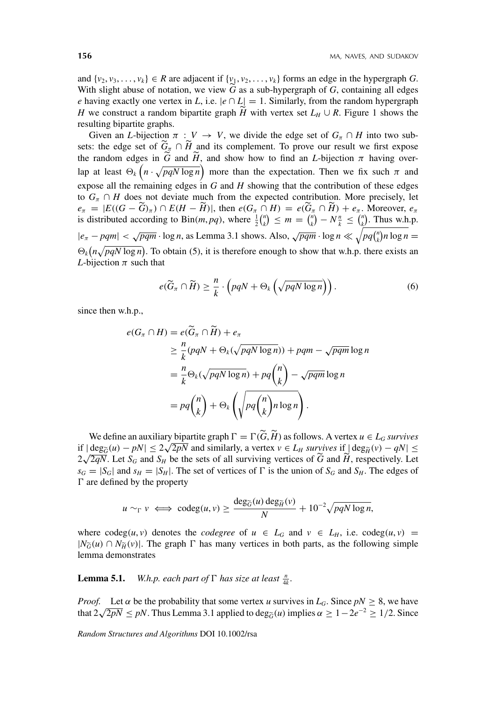and  $\{v_2, v_3, \ldots, v_k\} \in R$  are adjacent if  $\{v_1, v_2, \ldots, v_k\}$  forms an edge in the hypergraph *G*. With slight abuse of notation, we view *G* as a sub-hypergraph of *G*, containing all edges *e* having exactly one vertex in *L*, i.e.  $|e \cap L| = 1$ . Similarly, from the random hypergraph *H* we construct a random bipartite graph *H* with vertex set  $L_H \cup R$ . Figure 1 shows the resulting bipartite graphs.

Given an *L*-bijection  $\pi : V \to V$ , we divide the edge set of  $G_{\pi} \cap H$  into two subsets: the edge set of  $G_{\pi} \cap H$  and its complement. To prove our result we first expose the random edges in *G* and *H*, and show how to find an *L*-bijection  $\pi$  having overlap at least  $\Theta_k (n \cdot \sqrt{pqN \log n})$  more than the expectation. Then we fix such  $\pi$  and expose all the remaining edges in *G* and *H* showing that the contribution of these edges to  $G_{\pi} \cap H$  does not deviate much from the expected contribution. More precisely, let  $e_{\pi} = |E((G - G)_{\pi}) \cap E(H - H)|$ , then  $e(G_{\pi} \cap H) = e(G_{\pi} \cap H) + e_{\pi}$ . Moreover,  $e_{\pi}$ is distributed according to Bin(*m*, *pq*), where  $\frac{1}{2}$ ( $\frac{n}{k}$  $\binom{n}{k} \leq m = \binom{n}{k}$  $\binom{n}{k} - N\frac{n}{k} \leq \binom{n}{k}$  $\binom{n}{k}$ . Thus w.h.p.  $|e_{\pi} - pqm| < \sqrt{pqm} \cdot \log n$ , as Lemma 3.1 shows. Also,  $\sqrt{pqm} \cdot \log n \ll \sqrt{pq\binom{n}{k}}$  $\binom{n}{k}$ *n* log *n* =  $\Theta_k(n\sqrt{pqN\log n})$ . To obtain (5), it is therefore enough to show that w.h.p. there exists an *L*-bijection  $\pi$  such that

$$
e(\widetilde{G}_{\pi} \cap \widetilde{H}) \geq \frac{n}{k} \cdot \left(pqN + \Theta_k\left(\sqrt{pqN\log n}\right)\right). \tag{6}
$$

since then w.h.p.,

$$
e(G_{\pi} \cap H) = e(\widetilde{G}_{\pi} \cap \widetilde{H}) + e_{\pi}
$$
  
\n
$$
\geq \frac{n}{k}(pqN + \Theta_{k}(\sqrt{pqN \log n})) + pqm - \sqrt{pqm} \log n
$$
  
\n
$$
= \frac{n}{k}\Theta_{k}(\sqrt{pqN \log n}) + pq\binom{n}{k} - \sqrt{pqm} \log n
$$
  
\n
$$
= pq\binom{n}{k} + \Theta_{k}\left(\sqrt{pq\binom{n}{k}n \log n}\right).
$$

We define an auxiliary bipartite graph  $\Gamma = \Gamma(\tilde{G}, \tilde{H})$  as follows. A vertex  $u \in L_G$  *survives* we define an auxiliary organic graph  $i = 1$  (*G*, *H*) as follows. A vertex *u* ∈ *L<sub>G</sub> survives* if  $|\deg_{\widetilde{H}}(v) - qN| \le$ <br>if  $|\deg_{\widetilde{G}}(u) - pN| \le 2\sqrt{2pN}$  and similarly, a vertex  $v \in L_H$  *survives* if  $|\deg_{\widetilde{H}}(v) 2\sqrt{2qN}$ . Let  $S_G$  and  $S_H$  be the sets of all surviving vertices of  $\tilde{G}$  and  $\tilde{H}$ , respectively. Let  $2\sqrt{2qN}$ . Let  $S_G$  and  $S_H$  be the sets of all surviving vertices of  $\tilde{G}$  and  $\tilde{H}$ , respectively. L  $s_G = |S_G|$  and  $s_H = |S_H|$ . The set of vertices of  $\Gamma$  is the union of  $S_G$  and  $S_H$ . The edges of  are defined by the property

$$
u \sim_{\Gamma} v \iff \text{codeg}(u, v) \ge \frac{\text{deg}_{\widetilde{G}}(u) \text{ deg}_{\widetilde{H}}(v)}{N} + 10^{-2} \sqrt{pqN \log n},
$$

where  $\text{codeg}(u, v)$  denotes the *codegree* of  $u \in L_G$  and  $v \in L_H$ , i.e.  $\text{codeg}(u, v)$  =  $|N_{\widetilde{G}}(u) \cap N_{\widetilde{H}}(v)|$ . The graph  $\Gamma$  has many vertices in both parts, as the following simple lemma demonstrates

**Lemma 5.1.** *W.h.p. each part of*  $\Gamma$  *has size at least*  $\frac{n}{4k}$ *.* 

*Proof.* Let  $\alpha$  be the probability that some vertex *u* survives in  $L_G$ . Since  $pN \geq 8$ , we have that  $2\sqrt{2pN} \leq pN$ . Thus Lemma 3.1 applied to deg<sub> $\tilde{G}$ </sub> $(u)$  implies  $\alpha \geq 1-2e^{-2} \geq 1/2$ . Since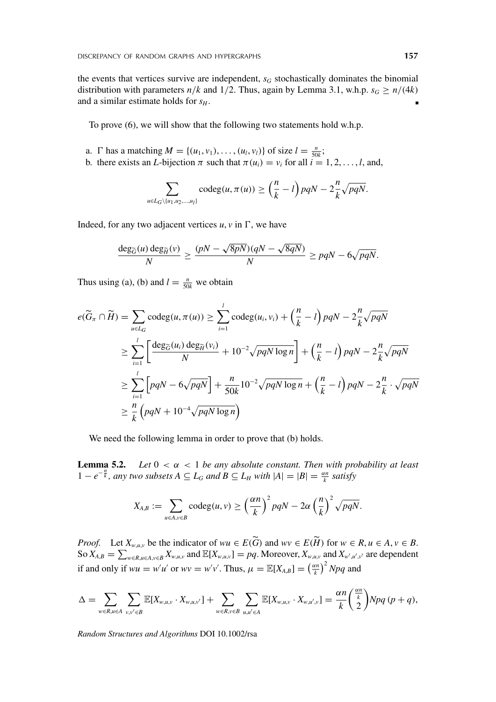the events that vertices survive are independent,  $s_G$  stochastically dominates the binomial distribution with parameters  $n/k$  and  $1/2$ . Thus, again by Lemma 3.1, w.h.p.  $s_G \ge n/(4k)$ and a similar estimate holds for  $s_H$ .

To prove (6), we will show that the following two statements hold w.h.p.

- a. *\* has a matching  $M = \{(u_1, v_1), \ldots, (u_l, v_l)\}$  of size  $l = \frac{n}{50k}$ ;
- b. there exists an *L*-bijection  $\pi$  such that  $\pi(u_i) = v_i$  for all  $i = 1, 2, \ldots, l$ , and,

$$
\sum_{u \in L_G \setminus \{u_1, u_2, \dots, u_l\}} \text{codeg}(u, \pi(u)) \ge \left(\frac{n}{k} - l\right) pqN - 2\frac{n}{k}\sqrt{pqN}.
$$

Indeed, for any two adjacent vertices  $u, v$  in  $\Gamma$ , we have

$$
\frac{\deg_{\widetilde{G}}(u)\deg_{\widetilde{H}}(v)}{N} \ge \frac{(pN - \sqrt{8pN})(qN - \sqrt{8qN})}{N} \ge pqN - 6\sqrt{pqN}.
$$

Thus using (a), (b) and  $l = \frac{n}{50k}$  we obtain

$$
e(\widetilde{G}_{\pi} \cap \widetilde{H}) = \sum_{u \in L_G} \operatorname{codeg}(u, \pi(u)) \ge \sum_{i=1}^{l} \operatorname{codeg}(u_i, v_i) + \left(\frac{n}{k} - l\right) pqN - 2\frac{n}{k}\sqrt{pqN}
$$
  
\n
$$
\ge \sum_{i=1}^{l} \left[ \frac{\operatorname{deg}_{\widetilde{G}}(u_i) \operatorname{deg}_{\widetilde{H}}(v_i)}{N} + 10^{-2}\sqrt{pqN \log n} \right] + \left(\frac{n}{k} - l\right) pqN - 2\frac{n}{k}\sqrt{pqN}
$$
  
\n
$$
\ge \sum_{i=1}^{l} \left[ pqN - 6\sqrt{pqN} \right] + \frac{n}{50k} 10^{-2}\sqrt{pqN \log n} + \left(\frac{n}{k} - l\right) pqN - 2\frac{n}{k} \cdot \sqrt{pqN}
$$
  
\n
$$
\ge \frac{n}{k} \left( pqN + 10^{-4}\sqrt{pqN \log n} \right)
$$

We need the following lemma in order to prove that (b) holds.

**Lemma 5.2.** *Let*  $0 < \alpha < 1$  *be any absolute constant. Then with probability at least*  $1 - e^{-\frac{n}{k}}$ , any two subsets  $A ⊆ L_G$  and  $B ⊆ L_H$  with  $|A| = |B| = \frac{\alpha n}{k}$  satisfy

$$
X_{A,B} := \sum_{u \in A, v \in B} \operatorname{codeg}(u, v) \ge \left(\frac{\alpha n}{k}\right)^2 pqN - 2\alpha \left(\frac{n}{k}\right)^2 \sqrt{pqN}.
$$

*Proof.* Let  $X_{w,u,v}$  be the indicator of  $wu \in E(G)$  and  $wv \in E(H)$  for  $w \in R, u \in A, v \in B$ . So  $X_{A,B} = \sum_{w \in R, u \in A, v \in B} X_{w,u,v}$  and  $\mathbb{E}[X_{w,u,v}] = pq$ . Moreover,  $X_{w,u,v}$  and  $X_{w',u',v'}$  are dependent if and only if  $wu = w'u'$  or  $wv = w'v'$ . Thus,  $\mu = \mathbb{E}[X_{A,B}] = \left(\frac{\alpha n}{k}\right)^2 Npq$  and

$$
\Delta = \sum_{w \in R, u \in A} \sum_{v,v' \in B} \mathbb{E}[X_{w,u,v} \cdot X_{w,u,v'}] + \sum_{w \in R, v \in B} \sum_{u,u' \in A} \mathbb{E}[X_{w,u,v} \cdot X_{w,u',v}] = \frac{\alpha n}{k} \binom{\frac{\alpha n}{k}}{2} Npq (p+q),
$$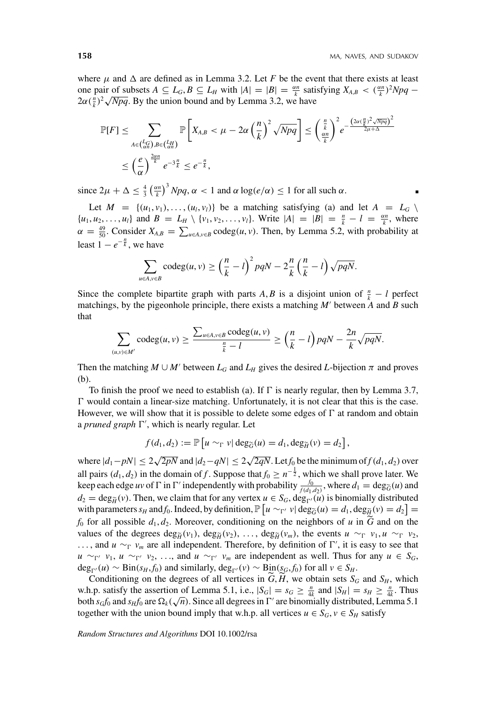where  $\mu$  and  $\Delta$  are defined as in Lemma 3.2. Let *F* be the event that there exists at least one pair of subsets  $A \subseteq L_G$ ,  $B \subseteq L_H$  with  $|A| = |B| = \frac{\alpha n}{k}$  satisfying  $X_{A,B} < (\frac{\alpha n}{k})^2 Npq -$ bole pair of subsets  $A \subseteq L_G$ ,  $B \subseteq L_H$  with  $|A| = |B| = \frac{1}{k}$  satisfactor  $2\alpha(\frac{n}{k})^2\sqrt{Npq}$ . By the union bound and by Lemma 3.2, we have

$$
\mathbb{P}[F] \leq \sum_{A \in {L_G \choose \alpha n}, B \in {L_H \choose \alpha n}} \mathbb{P}\left[X_{A,B} < \mu - 2\alpha \left(\frac{n}{k}\right)^2 \sqrt{Npq}\right] \leq \left(\frac{\frac{n}{k}}{\frac{\alpha n}{k}}\right)^2 e^{-\frac{\left(2\alpha \left(\frac{n}{k}\right)^2 \sqrt{Npq}\right)^2}{2\mu + \Delta}}
$$
\n
$$
\leq \left(\frac{e}{\alpha}\right)^{\frac{2\alpha n}{k}} e^{-3\frac{n}{k}} \leq e^{-\frac{n}{k}},
$$

since  $2\mu + \Delta \leq \frac{4}{3} \left(\frac{\alpha n}{k}\right)^3 Npq$ ,  $\alpha < 1$  and  $\alpha \log(e/\alpha) \leq 1$  for all such  $\alpha$ .

Let  $M = \{(u_1, v_1), \ldots, (u_l, v_l)\}$  be a matching satisfying (a) and let  $A = L_G \setminus$  $\{u_1, u_2, \ldots, u_l\}$  and  $B = L_H \setminus \{v_1, v_2, \ldots, v_l\}$ . Write  $|A| = |B| = \frac{n}{k} - l = \frac{\alpha n}{k}$ , where  $\alpha = \frac{49}{50}$ . Consider  $X_{A,B} = \sum_{u \in A, v \in B} \text{codeg}(u, v)$ . Then, by Lemma 5.2, with probability at least  $1 - e^{-\frac{n}{k}}$ , we have

$$
\sum_{u \in A, v \in B} \operatorname{codeg}(u, v) \ge \left(\frac{n}{k} - l\right)^2 pqN - 2\frac{n}{k} \left(\frac{n}{k} - l\right) \sqrt{pqN}.
$$

Since the complete bipartite graph with parts *A*, *B* is a disjoint union of  $\frac{n}{k} - l$  perfect matchings, by the pigeonhole principle, there exists a matching  $M'$  between A and B such that

$$
\sum_{(v,v)\in M'} \operatorname{codeg}(u,v) \ge \frac{\sum_{u\in A, v\in B} \operatorname{codeg}(u,v)}{\frac{n}{k}-l} \ge \left(\frac{n}{k}-l\right) pqN - \frac{2n}{k}\sqrt{pqN}.
$$

Then the matching  $M \cup M'$  between  $L_G$  and  $L_H$  gives the desired *L*-bijection  $\pi$  and proves (b).

To finish the proof we need to establish (a). If  $\Gamma$  is nearly regular, then by Lemma 3.7,  $\Gamma$  would contain a linear-size matching. Unfortunately, it is not clear that this is the case. However, we will show that it is possible to delete some edges of  $\Gamma$  at random and obtain a *pruned graph*  $\Gamma'$ , which is nearly regular. Let

$$
f(d_1, d_2) := \mathbb{P}\left[u \sim_{\Gamma} v \middle| \deg_{\widetilde{G}}(u) = d_1, \deg_{\widetilde{H}}(v) = d_2\right],
$$

 $\text{where } |d_1 - pN| \leq 2\sqrt{2pN} \text{ and } |d_2 - qN| \leq 2\sqrt{2qN}$ . Let *f*<sub>0</sub> be the minimum of *f* (*d*<sub>1</sub>, *d*<sub>2</sub>) over all pairs  $(d_1, d_2)$  in the domain of *f*. Suppose that  $f_0 \geq n^{-\frac{1}{2}}$ , which we shall prove later. We keep each edge *uv* of  $\Gamma$  in  $\Gamma'$  independently with probability  $\frac{f_0}{f(d_1,d_2)}$ , where  $d_1 = \deg_{\widetilde{G}}(u)$  and  $d_2 = \deg_{\widetilde{H}}(v)$ . Then, we claim that for any vertex  $u \in S_G$ ,  $\deg_{\Gamma'}(u)$  is binomially distributed with parameters  $s_H$  and  $f_0$ . Indeed, by definition,  $\mathbb{P}\left[u \sim_{\Gamma'} v \mid \text{deg}_{\widetilde{G}}(u) = d_1, \text{deg}_{\widetilde{H}}(v) = d_2\right] =$  $f_0$  for all possible  $d_1, d_2$ . Moreover, conditioning on the neighbors of *u* in  $\tilde{G}$  and on the values of the degrees  $\deg_{\widetilde{H}}(v_1)$ ,  $\deg_{\widetilde{H}}(v_2)$ , ...,  $\deg_{\widetilde{H}}(v_m)$ , the events  $u \sim_\Gamma v_1$ ,  $u \sim_\Gamma v_2$ , ..., and *u* ∼<sub>*Γ*</sub> *v<sub>m</sub>* are all independent. Therefore, by definition of  $\Gamma'$ , it is easy to see that *u* ∼<sup>*γ*</sup> *v*<sub>1</sub>, *u* ∼<sup>*γ*</sup> *v*<sub>2</sub>, *...*, and *u* ∼<sup>*γ*</sup> *v<sub>m</sub>* are independent as well. Thus for any *u* ∈ *S<sub>G</sub>*,  $deg_{\Gamma'}(u) \sim Bin(s_H, f_0)$  and similarly,  $deg_{\Gamma'}(v) \sim Bin(s_G, f_0)$  for all  $v \in S_H$ .

Conditioning on the degrees of all vertices in  $G$ ,  $H$ , we obtain sets  $S_G$  and  $S_H$ , which w.h.p. satisfy the assertion of Lemma 5.1, i.e.,  $|S_G| = s_G \ge \frac{n}{4k}$  and  $|S_H| = s_H \ge \frac{n}{4k}$ . Thus w.n.p. sausry the assertion of Lemma 5.1, i.e.,  $|S_G| = S_G \ge \frac{1}{4k}$  and  $|S_H| = S_H \ge \frac{1}{4k}$ . Thus both  $s_G f_0$  and  $s_H f_0$  are  $\Omega_k(\sqrt{n})$ . Since all degrees in  $\Gamma'$  are binomially distributed, Lemma 5.1 together with the union bound imply that w.h.p. all vertices  $u \in S_G$ ,  $v \in S_H$  satisfy

*Random Structures and Algorithms* DOI 10.1002/rsa

*(u*,*v)*∈*M*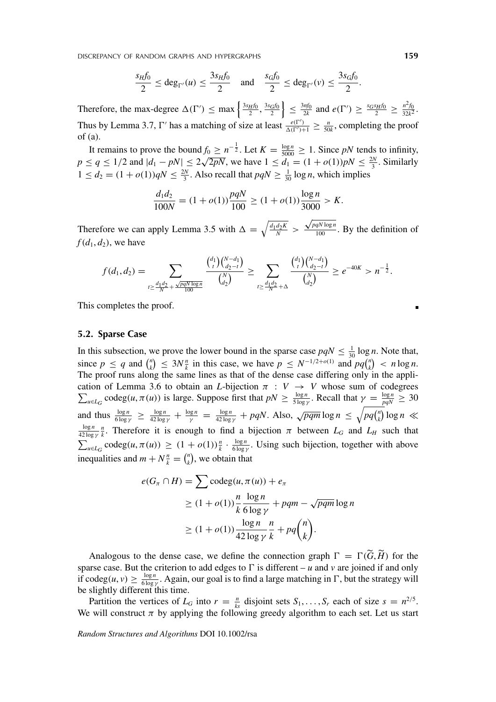DISCREPANCY OF RANDOM GRAPHS AND HYPERGRAPHS **159**

$$
\frac{s_H f_0}{2} \le \deg_{\Gamma'}(u) \le \frac{3s_H f_0}{2} \quad \text{and} \quad \frac{s_G f_0}{2} \le \deg_{\Gamma'}(v) \le \frac{3s_G f_0}{2}.
$$

Therefore, the max-degree  $\Delta(\Gamma') \leq \max \left\{ \frac{3s_H f_0}{2}, \frac{3s_G f_0}{2} \right\}$  $\left\{\leq \frac{3nf_0}{2k} \text{ and } e(\Gamma') \geq \frac{s_Gs_Hf_0}{2} \geq \frac{n^2f_0}{32k^2}. \right\}$ Thus by Lemma 3.7,  $\Gamma'$  has a matching of size at least  $\frac{e(\Gamma')}{\Delta(\Gamma')+1} \geq \frac{n}{50k}$ , completing the proof of (a).

It remains to prove the bound  $f_0 \ge n^{-\frac{1}{2}}$ . Let  $K = \frac{\log n}{5000} \ge 1$ . Since *pN* tends to infinity, *p* ≤ *q* ≤ 1/2 and  $|d_1 - pN|$  ≤ 2 $\sqrt{2pN}$ , we have  $1 \le d_1 = (1 + o(1))pN \le \frac{2N}{3}$ . Similarly  $1 \le d_2 = (1 + o(1))qN \le \frac{2N}{3}$ . Also recall that  $pqN \ge \frac{1}{30} \log n$ , which implies

$$
\frac{d_1 d_2}{100N} = (1 + o(1)) \frac{pqN}{100} \ge (1 + o(1)) \frac{\log n}{3000} > K.
$$

Therefore we can apply Lemma 3.5 with  $\Delta = \sqrt{\frac{d_1 d_2 K}{N}} >$ <sup>√</sup>*pqN* log *<sup>n</sup>*  $\frac{q_i v \log n}{100}$ . By the definition of  $f(d_1, d_2)$ , we have

$$
f(d_1, d_2) = \sum_{\substack{t \geq \frac{d_1d_2}{N} + \frac{\sqrt{pqN\log n}}{100}}} \frac{\binom{d_1}{t}\binom{N-d_1}{d_2-t}}{\binom{N}{d_2}} \geq \sum_{\substack{t \geq \frac{d_1d_2}{N} + \Delta}} \frac{\binom{d_1}{t}\binom{N-d_1}{d_2-t}}{\binom{N}{d_2}} \geq e^{-40K} > n^{-\frac{1}{2}}.
$$

This completes the proof.

#### **5.2. Sparse Case**

In this subsection, we prove the lower bound in the sparse case  $pqN \leq \frac{1}{30} \log n$ . Note that, since  $p \leq q$  and  $\binom{n}{k}$  $\binom{n}{k} \leq 3N \frac{n}{k}$  in this case, we have  $p \leq N^{-1/2 + o(1)}$  and  $pq \binom{n}{k}$  $\binom{n}{k}$  < *n* log *n*. The proof runs along the same lines as that of the dense case differing only in the application of Lemma 3.6 to obtain an  $\sum$ *L*-bijection  $\pi$  :  $V \rightarrow V$  whose sum of codegrees  $u \in L_G$  codeg $(u, \pi(u))$  is large. Suppose first that  $pN \ge \frac{\log n}{5 \log \gamma}$ . Recall that  $\gamma = \frac{\log n}{pqN} \ge 30$ and thus  $\frac{\log n}{6 \log \gamma} \ge \frac{\log n}{42 \log \gamma} + \frac{\log n}{\gamma} = \frac{\log n}{42 \log \gamma} + pqN$ . Also,  $\sqrt{pqm} \log n \le \sqrt{pq\binom{n}{k}}$  $\binom{n}{k} \log n \ll$ log *n*  $\frac{\log n}{42 \log \gamma}$  *n*. Therefore it is enough to find a bijection  $\pi$  between  $L_G$  and  $L_H$  such that  $\sum_{u \in L_G} \text{codeg}(u, \pi(u)) \ge (1 + o(1)) \frac{n}{k} \cdot \frac{\log n}{6 \log y}$ . Using such bijection, together with above inequalities and  $m + N^{\frac{n}{k}} = {n \choose k}$  $\binom{n}{k}$ , we obtain that

$$
e(G_{\pi} \cap H) = \sum \operatorname{codeg}(u, \pi(u)) + e_{\pi}
$$
  
\n
$$
\geq (1 + o(1)) \frac{n}{k} \frac{\log n}{6 \log \gamma} + pqm - \sqrt{pqm} \log n
$$
  
\n
$$
\geq (1 + o(1)) \frac{\log n}{42 \log \gamma} \frac{n}{k} + pq {n \choose k}.
$$

Analogous to the dense case, we define the connection graph  $\Gamma = \Gamma(G, H)$  for the sparse case. But the criterion to add edges to  $\Gamma$  is different – *u* and *v* are joined if and only if codeg $(u, v) \ge \frac{\log n}{6 \log y}$ . Again, our goal is to find a large matching in  $\Gamma$ , but the strategy will be slightly different this time.

Partition the vertices of  $L_G$  into  $r = \frac{n}{ks}$  disjoint sets  $S_1, \ldots, S_r$  each of size  $s = n^{2/5}$ . We will construct  $\pi$  by applying the following greedy algorithm to each set. Let us start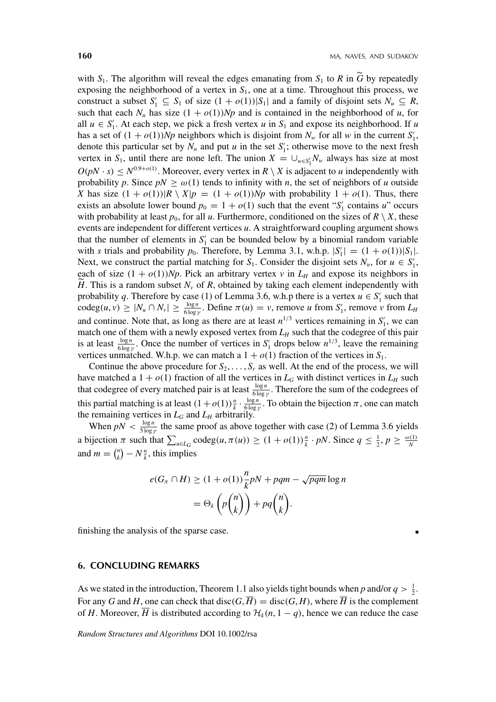with  $S_1$ . The algorithm will reveal the edges emanating from  $S_1$  to R in  $\tilde{G}$  by repeatedly exposing the neighborhood of a vertex in *S*1, one at a time. Throughout this process, we construct a subset  $S'_1 \subseteq S_1$  of size  $(1 + o(1))|S_1|$  and a family of disjoint sets  $N_u \subseteq R$ , such that each  $N_u$  has size  $(1 + o(1))Np$  and is contained in the neighborhood of *u*, for all  $u \in S'_1$ . At each step, we pick a fresh vertex *u* in  $S_1$  and expose its neighborhood. If *u* has a set of  $(1 + o(1))Np$  neighbors which is disjoint from  $N_w$  for all w in the current  $S'_1$ , denote this particular set by  $N_u$  and put  $u$  in the set  $S'_1$ ; otherwise move to the next fresh vertex in  $S_1$ , until there are none left. The union  $X = \bigcup_{w \in S'_1} N_w$  always has size at most  $O(pN \cdot s) \le N^{0.9 + o(1)}$ . Moreover, every vertex in  $R \setminus X$  is adjacent to *u* independently with probability *p*. Since  $pN \ge \omega(1)$  tends to infinity with *n*, the set of neighbors of *u* outside *X* has size  $(1 + o(1))$ |*R*  $\setminus X$ |*p* =  $(1 + o(1))$ *Np* with probability  $1 + o(1)$ . Thus, there exists an absolute lower bound  $p_0 = 1 + o(1)$  such that the event " $S'_1$  contains *u*" occurs with probability at least  $p_0$ , for all *u*. Furthermore, conditioned on the sizes of  $R \setminus X$ , these events are independent for different vertices *u*. A straightforward coupling argument shows that the number of elements in  $S_1'$  can be bounded below by a binomial random variable with *s* trials and probability  $p_0$ . Therefore, by Lemma 3.1, w.h.p.  $|S'_1| = (1 + o(1))|S_1|$ . Next, we construct the partial matching for  $S_1$ . Consider the disjoint sets  $N_u$ , for  $u \in S'_1$ , each of size  $(1 + o(1))Np$ . Pick an arbitrary vertex *v* in  $L_H$  and expose its neighbors in *H*. This is a random subset  $N_v$  of  $R$ , obtained by taking each element independently with probability *q*. Therefore by case (1) of Lemma 3.6, w.h.p there is a vertex  $u \in S_1'$  such that  $\c{codeg}(u, v) \ge |N_u \cap N_v| \ge \frac{\log n}{6 \log y}$ . Define  $\pi(u) = v$ , remove *u* from  $S'_1$ , remove *v* from  $L_H$ and continue. Note that, as long as there are at least  $n^{1/3}$  vertices remaining in  $S'_1$ , we can match one of them with a newly exposed vertex from  $L_H$  such that the codegree of this pair is at least  $\frac{\log n}{6 \log \gamma}$ . Once the number of vertices in *S*<sup>1</sup><sub>1</sub> drops below  $n^{1/3}$ , leave the remaining vertices unmatched. W.h.p. we can match a  $1 + o(1)$  fraction of the vertices in  $S_1$ .

Continue the above procedure for  $S_2, \ldots, S_r$  as well. At the end of the process, we will have matched a  $1 + o(1)$  fraction of all the vertices in  $L_G$  with distinct vertices in  $L_H$  such that codegree of every matched pair is at least  $\frac{\log n}{6 \log y}$ . Therefore the sum of the codegrees of this partial matching is at least  $(1 + o(1))\frac{n}{k} \cdot \frac{\log n}{6 \log \gamma}$ . To obtain the bijection  $\pi$ , one can match the remaining vertices in  $L_G$  and  $L_H$  arbitrarily.

When  $pN < \frac{\log n}{5 \log \gamma}$  the same proof as above together with case (2) of Lemma 3.6 yields a bijection  $\pi$  such that  $\sum_{u \in L_G} \text{codeg}(u, \pi(u)) \ge (1 + o(1))\frac{n}{k} \cdot pN$ . Since  $q \le \frac{1}{2}, p \ge \frac{o(1)}{N}$ and  $m = \binom{n}{k}$  $\binom{n}{k} - N\frac{n}{k}$ , this implies

$$
e(G_{\pi} \cap H) \ge (1 + o(1)) \frac{n}{k} pN + pqm - \sqrt{pqm} \log n
$$
  
=  $\Theta_k \left( p \binom{n}{k} \right) + pq \binom{n}{k}.$ 

finishing the analysis of the sparse case.

### **6. CONCLUDING REMARKS**

As we stated in the introduction, Theorem 1.1 also yields tight bounds when *p* and/or  $q > \frac{1}{2}$ . For any *G* and *H*, one can check that disc(*G*,  $\overline{H}$ ) = disc(*G*, *H*), where  $\overline{H}$  is the complement of *H*. Moreover,  $\overline{H}$  is distributed according to  $\mathcal{H}_k(n, 1-q)$ , hence we can reduce the case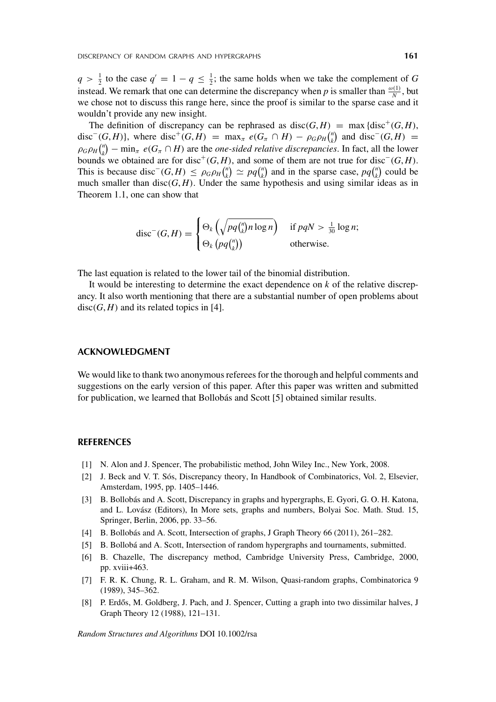$q > \frac{1}{2}$  to the case  $q' = 1 - q \leq \frac{1}{2}$ ; the same holds when we take the complement of *G* instead. We remark that one can determine the discrepancy when *p* is smaller than  $\frac{\omega(1)}{N}$ , but we chose not to discuss this range here, since the proof is similar to the sparse case and it wouldn't provide any new insight.

The definition of discrepancy can be rephrased as disc( $G$ ,  $H$ ) = max {disc<sup>+</sup>( $G$ ,  $H$ ), disc<sup>−</sup>(*G*, *H*)}, where disc<sup>+</sup>(*G*, *H*) = max<sub>*π*</sub>  $e(G_\pi \cap H) - \rho_G \rho_H \binom{n}{k}$  $\binom{n}{k}$  and disc<sup>−</sup>(*G*, *H*) =  $\rho$ *G* $\rho$ *H* $\binom{n}{k}$  $\binom{n}{k}$  – min<sub>*π*</sub> *e*( $G_{\pi} \cap H$ ) are the *one-sided relative discrepancies*. In fact, all the lower bounds we obtained are for disc<sup>+</sup>(*G*, *H*), and some of them are not true for disc<sup>−</sup>(*G*, *H*). This is because disc<sup> $-(G,H) \leq \rho_G \rho_H \binom{n}{k}$ </sup>  $\binom{n}{k} \simeq pq \binom{n}{k}$  $\binom{n}{k}$  and in the sparse case,  $pq\binom{n}{k}$  $\binom{n}{k}$  could be much smaller than  $disc(G, H)$ . Under the same hypothesis and using similar ideas as in Theorem 1.1, one can show that

$$
\operatorname{disc}^-(G,H) = \begin{cases} \Theta_k\left(\sqrt{pq\binom{n}{k}n\log n}\right) & \text{if } pqN > \frac{1}{30}\log n; \\ \Theta_k\left(pq\binom{n}{k}\right) & \text{otherwise.} \end{cases}
$$

The last equation is related to the lower tail of the binomial distribution.

It would be interesting to determine the exact dependence on *k* of the relative discrepancy. It also worth mentioning that there are a substantial number of open problems about  $disc(G, H)$  and its related topics in [4].

## **ACKNOWLEDGMENT**

We would like to thank two anonymous referees for the thorough and helpful comments and suggestions on the early version of this paper. After this paper was written and submitted for publication, we learned that Bollobás and Scott [5] obtained similar results.

#### **REFERENCES**

- [1] N. Alon and J. Spencer, The probabilistic method, John Wiley Inc., New York, 2008.
- [2] J. Beck and V. T. Sós, Discrepancy theory, In Handbook of Combinatorics, Vol. 2, Elsevier, Amsterdam, 1995, pp. 1405–1446.
- [3] B. Bollobás and A. Scott, Discrepancy in graphs and hypergraphs, E. Gyori, G. O. H. Katona, and L. Lovász (Editors), In More sets, graphs and numbers, Bolyai Soc. Math. Stud. 15, Springer, Berlin, 2006, pp. 33–56.
- [4] B. Bollobás and A. Scott, Intersection of graphs, J Graph Theory 66 (2011), 261–282.
- [5] B. Bollobá and A. Scott, Intersection of random hypergraphs and tournaments, submitted.
- [6] B. Chazelle, The discrepancy method, Cambridge University Press, Cambridge, 2000, pp. xviii+463.
- [7] F. R. K. Chung, R. L. Graham, and R. M. Wilson, Quasi-random graphs, Combinatorica 9 (1989), 345–362.
- [8] P. Erdős, M. Goldberg, J. Pach, and J. Spencer, Cutting a graph into two dissimilar halves, J Graph Theory 12 (1988), 121–131.